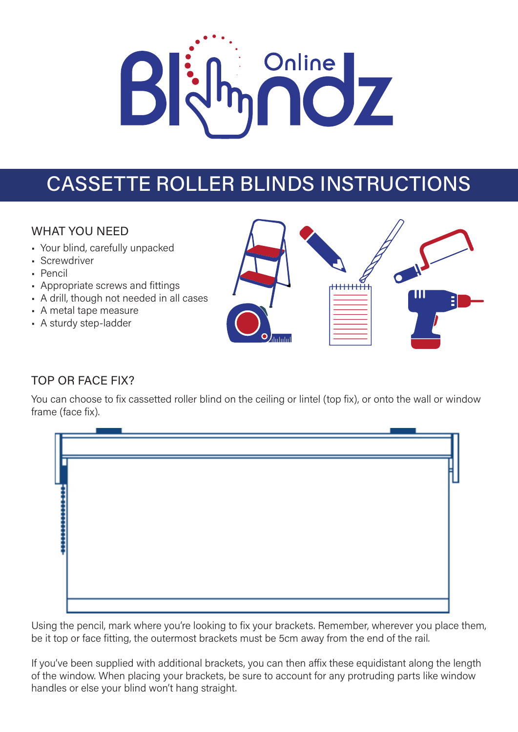# Online <u>17</u>

# CASSETTE ROLLER BLINDS INSTRUCTIONS

## WHAT YOU NEED

- Your blind, carefully unpacked
- Screwdriver
- Pencil
- Appropriate screws and fittings
- A drill, though not needed in all cases
- A metal tape measure
- A sturdy step-ladder



## TOP OR FACE FIX?

You can choose to fix cassetted roller blind on the ceiling or lintel (top fix), or onto the wall or window frame (face fix).

Using the pencil, mark where you're looking to fix your brackets. Remember, wherever you place them, be it top or face fitting, the outermost brackets must be 5cm away from the end of the rail.

If you've been supplied with additional brackets, you can then affix these equidistant along the length of the window. When placing your brackets, be sure to account for any protruding parts like window handles or else your blind won't hang straight.